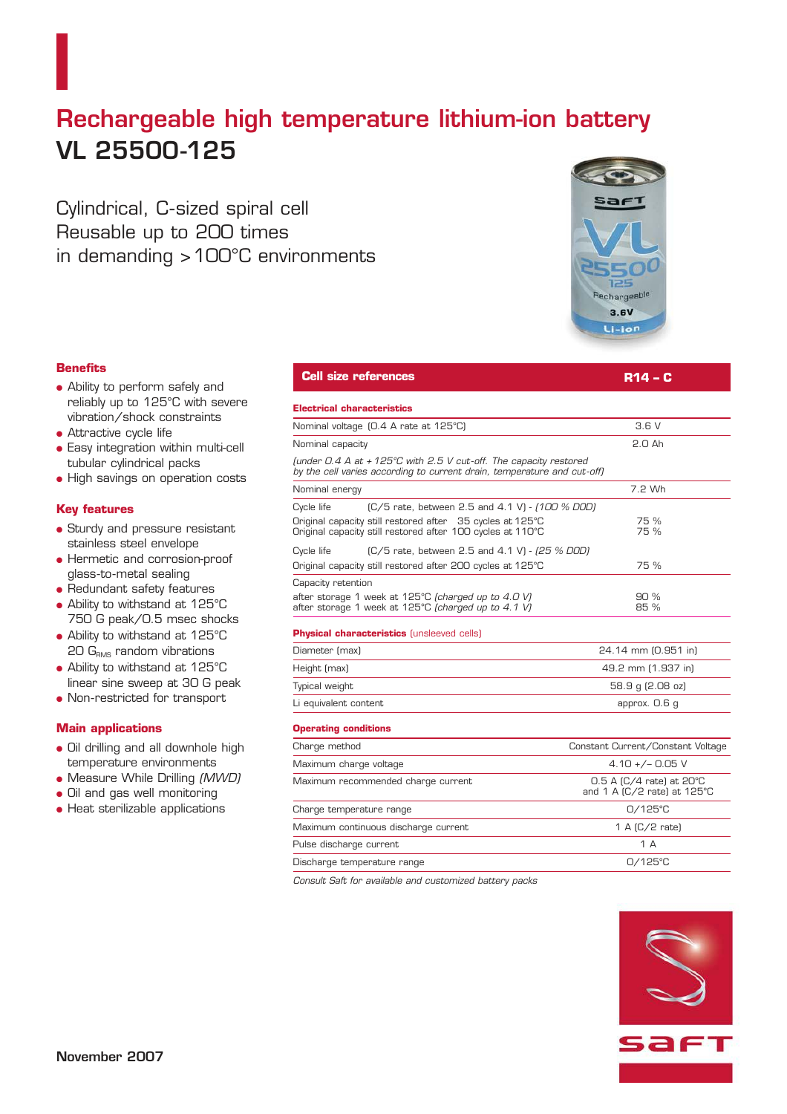## **Rechargeable high temperature lithium-ion battery VL 25500-125**

Cylindrical, C-sized spiral cell Reusable up to 200 times in demanding >100°C environments



## **Benefits**

- Ability to perform safely and reliably up to 125°C with severe vibration/shock constraints
- Attractive cycle life
- Easy integration within multi-cell tubular cylindrical packs
- High savings on operation costs

### **Key features**

- Sturdy and pressure resistant stainless steel envelope
- Hermetic and corrosion-proof glass-to-metal sealing
- Redundant safety features
- Ability to withstand at 125°C 750 G peak/0.5 msec shocks
- Ability to withstand at 125°C  $20 G<sub>RMS</sub>$  random vibrations
- Ability to withstand at 125°C linear sine sweep at 30 G peak
- Non-restricted for transport

### **Main applications**

- Oil drilling and all downhole high temperature environments
- Measure While Drilling (MWD)
- Oil and gas well monitoring
- Heat sterilizable applications

## **Electrical characteristics** Nominal voltage (0.4 A rate at 125°C) 3.6 V Nominal capacity 2.0 Ah (under 0.4 A at + 125°C with 2.5 V cut -off. The capacity restored by the cell varies according to current drain, temperature and cut -off) Nominal energy **7.2 Wh** Cycle life (C/5 rate, between 2.5 and 4.1 V) - (100 % DOD) Original capacity still restored after 35 cycles at 125°C 75 % Original capacity still restored after 100 cycles at 110°C 75 % Cycle life (C/5 rate, between 2.5 and 4.1 V) - (25 % DOD) Original capacity still restored after 200 cycles at 125°C 75 % Capacity retention after storage 1 week at 125°C (charged up to 4.0 V) 90 % after storage 1 week at 125°C (charged up to 4.1 V) 85 % **Physical characteristics** (unsleeved cells) Diameter (max) 24.14 mm (0.951 in) Height (max) 49.2 mm (1.937 in) Typical weight 58.9 g (2.08 oz) Li equivalent content approx. 0.6 g **Operating conditions** Charge method Constant Current/Constant Voltage Maximum charge voltage  $4.10 + - 0.05$  V Maximum recommended charge current 0.5 A (C/4 rate) at 20°C and 1 A ( $C/2$  rate) at 125 $^{\circ}$ C Charge temperature range 0/125°C Maximum continuous discharge current 1 A (C/2 rate) Pulse discharge current and the state of the state of the 1 A

**Cell size references R14 – C** 

Discharge temperature range 0/125°C

Consult Saft for available and customized battery packs